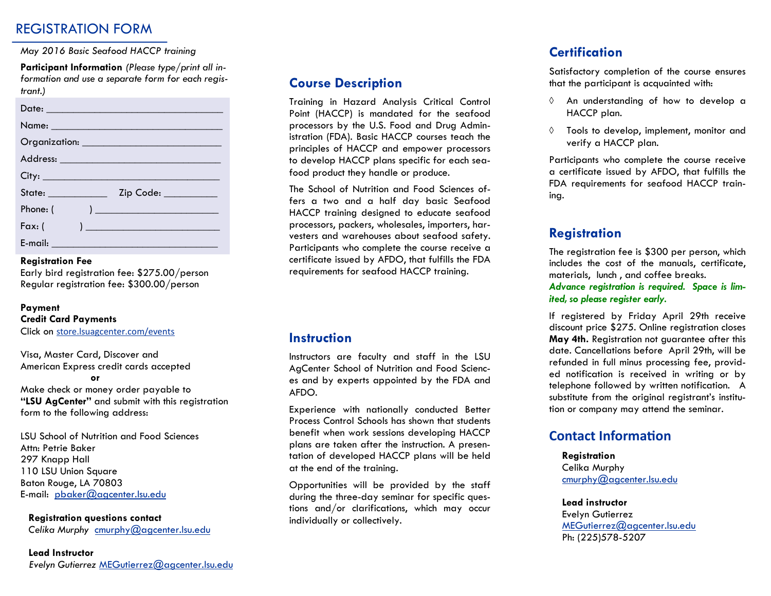## REGISTRATION FORM

#### *May 2016 Basic Seafood HACCP training*

**Participant Information** *(Please type/print all information and use a separate form for each registrant.)* 

| Name: Name and the second contract of the second contract of the second contract of the second contract of the                                                                                                                            |
|-------------------------------------------------------------------------------------------------------------------------------------------------------------------------------------------------------------------------------------------|
|                                                                                                                                                                                                                                           |
|                                                                                                                                                                                                                                           |
| City:                                                                                                                                                                                                                                     |
| State: ____________<br>Zip Code: _________                                                                                                                                                                                                |
| Phone: (<br>) and the set of the set of the set of the set of the set of the set of the set of the set of the set of the set of the set of the set of the set of the set of the set of the set of the set of the set of the set of the se |
| Fax: (<br>$\begin{array}{c} \hline \end{array}$                                                                                                                                                                                           |
| E-mail: ____________________                                                                                                                                                                                                              |

### **Registration Fee**

Early bird registration fee: \$275.00/person Regular registration fee: \$300.00/person

#### **Payment**

**Credit Card Payments** 

Click on [store.lsuagcenter.com/events](http://store.lsuagcenter.com/c-3-eventsservices.aspx)

Visa, Master Card, Discover and American Express credit cards accepted

**or**

Make check or money order payable to **"LSU AgCenter"** and submit with this registration form to the following address:

LSU School of Nutrition and Food Sciences Attn: Petrie Baker 297 Knapp Hall 110 LSU Union Square Baton Rouge, LA 70803 E-mail: [pbaker@agcenter.lsu.edu](mailto:pbaker@agcenter.lsu.edu) 

#### **Registration questions contact**

*Celika Murphy* cmurphy@agcenter.lsu.edu

#### **Lead Instructor**

 *Evelyn Gutierrez* MEGutierrez@agcenter.lsu.edu

## **Course Description**

Training in Hazard Analysis Critical Control Point (HACCP) is mandated for the seafood processors by the U.S. Food and Drug Administration (FDA). Basic HACCP courses teach the principles of HACCP and empower processors to develop HACCP plans specific for each seafood product they handle or produce.

The School of Nutrition and Food Sciences offers a two and a half day basic Seafood HACCP training designed to educate seafood processors, packers, wholesales, importers, harvesters and warehouses about seafood safety. Participants who complete the course receive a certificate issued by AFDO, that fulfills the FDA requirements for seafood HACCP training.

## **Instruction**

Instructors are faculty and staff in the LSU AgCenter School of Nutrition and Food Sciences and by experts appointed by the FDA and AFDO.

Experience with nationally conducted Better Process Control Schools has shown that students benefit when work sessions developing HACCP plans are taken after the instruction. A presentation of developed HACCP plans will be held at the end of the training.

Opportunities will be provided by the staff during the three-day seminar for specific questions and/or clarifications, which may occur individually or collectively.

## **Certification**

Satisfactory completion of the course ensures that the participant is acquainted with:

- $\Diamond$  An understanding of how to develop a HACCP plan.
- $\Diamond$  Tools to develop, implement, monitor and verify a HACCP plan.

Participants who complete the course receive a certificate issued by AFDO, that fulfills the FDA requirements for seafood HACCP training.

## **Registration**

The registration fee is \$300 per person, which includes the cost of the manuals, certificate, materials, lunch , and coffee breaks. *Advance registration is required. Space is limited, so please register early.* 

If registered by Friday April 29th receive discount price \$275. Online registration closes **May 4th.** Registration not guarantee after this date. Cancellations before April 29th, will be refunded in full minus processing fee, provided notification is received in writing or by telephone followed by written notification. A substitute from the original registrant's institution or company may attend the seminar.

## **Contact Information**

**Registration**  Celika Murphy cmurphy@agcenter.lsu.edu

#### **Lead instructor**

Evelyn Gutierrez MEGutierrez@agcenter.lsu.edu Ph: (225)578-5207